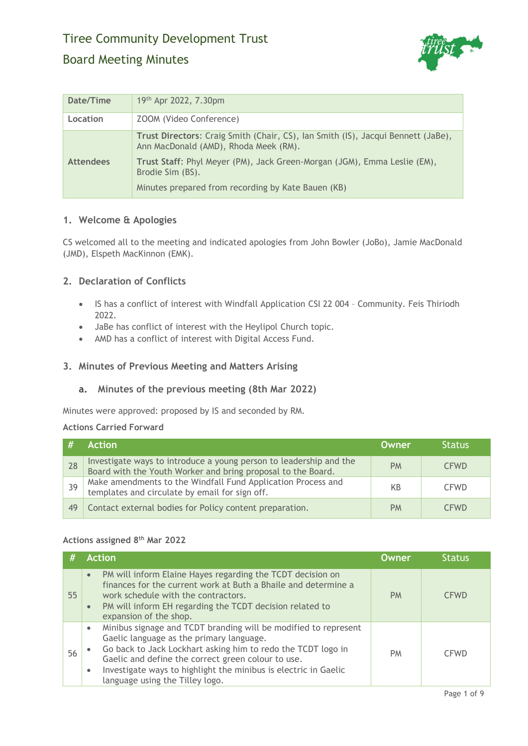

| Date/Time        | 19th Apr 2022, 7.30pm                                                                                                     |
|------------------|---------------------------------------------------------------------------------------------------------------------------|
| Location         | ZOOM (Video Conference)                                                                                                   |
|                  | Trust Directors: Craig Smith (Chair, CS), Ian Smith (IS), Jacqui Bennett (JaBe),<br>Ann MacDonald (AMD), Rhoda Meek (RM). |
| <b>Attendees</b> | Trust Staff: Phyl Meyer (PM), Jack Green-Morgan (JGM), Emma Leslie (EM),<br>Brodie Sim (BS).                              |
|                  | Minutes prepared from recording by Kate Bauen (KB)                                                                        |

# **1. Welcome & Apologies**

CS welcomed all to the meeting and indicated apologies from John Bowler (JoBo), Jamie MacDonald (JMD), Elspeth MacKinnon (EMK).

## **2. Declaration of Conflicts**

- IS has a conflict of interest with Windfall Application CSI 22 004 Community. Feis Thiriodh 2022.
- JaBe has conflict of interest with the Heylipol Church topic.
- AMD has a conflict of interest with Digital Access Fund.

# **3. Minutes of Previous Meeting and Matters Arising**

### **a. Minutes of the previous meeting (8th Mar 2022)**

Minutes were approved: proposed by IS and seconded by RM.

#### **Actions Carried Forward**

|    | <b>Action</b>                                                                                                                      | Owner     | <b>Status</b> |
|----|------------------------------------------------------------------------------------------------------------------------------------|-----------|---------------|
| 28 | Investigate ways to introduce a young person to leadership and the<br>Board with the Youth Worker and bring proposal to the Board. | <b>PM</b> | <b>CFWD</b>   |
| 39 | Make amendments to the Windfall Fund Application Process and<br>templates and circulate by email for sign off.                     | KB        | <b>CFWD</b>   |
| 49 | Contact external bodies for Policy content preparation.                                                                            | <b>PM</b> | CFWD.         |

### **Actions assigned 8th Mar 2022**

| #  | <b>Action</b>                                                                                                                                                                                                                                                                                                                                                     | <b>Owner</b> | <b>Status</b> |
|----|-------------------------------------------------------------------------------------------------------------------------------------------------------------------------------------------------------------------------------------------------------------------------------------------------------------------------------------------------------------------|--------------|---------------|
| 55 | PM will inform Elaine Hayes regarding the TCDT decision on<br>$\bullet$<br>finances for the current work at Buth a Bhaile and determine a<br>work schedule with the contractors.<br>PM will inform EH regarding the TCDT decision related to<br>$\bullet$<br>expansion of the shop.                                                                               | <b>PM</b>    | <b>CFWD</b>   |
| 56 | Minibus signage and TCDT branding will be modified to represent<br>$\bullet$<br>Gaelic language as the primary language.<br>Go back to Jack Lockhart asking him to redo the TCDT logo in<br>Gaelic and define the correct green colour to use.<br>Investigate ways to highlight the minibus is electric in Gaelic<br>$\bullet$<br>language using the Tilley logo. | <b>PM</b>    | <b>CFWD</b>   |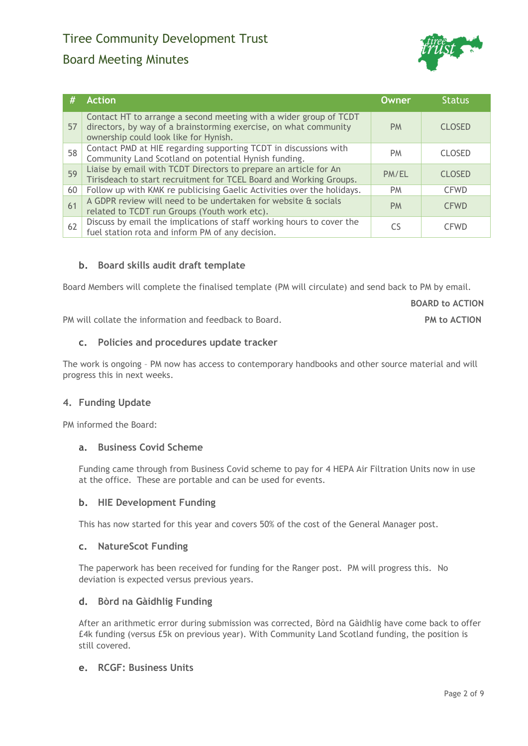# Board Meeting Minutes



| #  | <b>Action</b>                                                                                                                                                                  | Owner     | <b>Status</b> |
|----|--------------------------------------------------------------------------------------------------------------------------------------------------------------------------------|-----------|---------------|
| 57 | Contact HT to arrange a second meeting with a wider group of TCDT<br>directors, by way of a brainstorming exercise, on what community<br>ownership could look like for Hynish. | <b>PM</b> | <b>CLOSED</b> |
| 58 | Contact PMD at HIE regarding supporting TCDT in discussions with<br>Community Land Scotland on potential Hynish funding.                                                       | <b>PM</b> | <b>CLOSED</b> |
| 59 | Liaise by email with TCDT Directors to prepare an article for An<br>Tirisdeach to start recruitment for TCEL Board and Working Groups.                                         | PM/EL     | <b>CLOSED</b> |
| 60 | Follow up with KMK re publicising Gaelic Activities over the holidays.                                                                                                         | PM.       | <b>CFWD</b>   |
| 61 | A GDPR review will need to be undertaken for website & socials<br>related to TCDT run Groups (Youth work etc).                                                                 | <b>PM</b> | <b>CFWD</b>   |
| 62 | Discuss by email the implications of staff working hours to cover the<br>fuel station rota and inform PM of any decision.                                                      | CS        | <b>CFWD</b>   |

## **b. Board skills audit draft template**

Board Members will complete the finalised template (PM will circulate) and send back to PM by email.

**BOARD to ACTION**

PM will collate the information and feedback to Board. **PM to ACTION**

## **c. Policies and procedures update tracker**

The work is ongoing – PM now has access to contemporary handbooks and other source material and will progress this in next weeks.

### **4. Funding Update**

PM informed the Board:

### **a. Business Covid Scheme**

Funding came through from Business Covid scheme to pay for 4 HEPA Air Filtration Units now in use at the office. These are portable and can be used for events.

### **b. HIE Development Funding**

This has now started for this year and covers 50% of the cost of the General Manager post.

### **c. NatureScot Funding**

The paperwork has been received for funding for the Ranger post. PM will progress this. No deviation is expected versus previous years.

### **d. Bòrd na Gàidhlig Funding**

After an arithmetic error during submission was corrected, Bòrd na Gàidhlig have come back to offer £4k funding (versus £5k on previous year). With Community Land Scotland funding, the position is still covered.

## **e. RCGF: Business Units**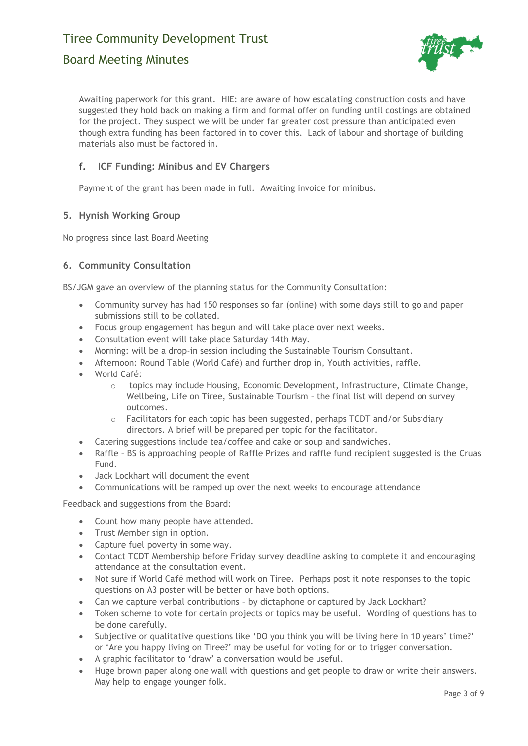# Board Meeting Minutes



Awaiting paperwork for this grant. HIE: are aware of how escalating construction costs and have suggested they hold back on making a firm and formal offer on funding until costings are obtained for the project. They suspect we will be under far greater cost pressure than anticipated even though extra funding has been factored in to cover this. Lack of labour and shortage of building materials also must be factored in.

# **f. ICF Funding: Minibus and EV Chargers**

Payment of the grant has been made in full. Awaiting invoice for minibus.

## **5. Hynish Working Group**

No progress since last Board Meeting

## **6. Community Consultation**

BS/JGM gave an overview of the planning status for the Community Consultation:

- Community survey has had 150 responses so far (online) with some days still to go and paper submissions still to be collated.
- Focus group engagement has begun and will take place over next weeks.
- Consultation event will take place Saturday 14th May.
- Morning: will be a drop-in session including the Sustainable Tourism Consultant.
- Afternoon: Round Table (World Café) and further drop in, Youth activities, raffle.
- World Café:
	- o topics may include Housing, Economic Development, Infrastructure, Climate Change, Wellbeing, Life on Tiree, Sustainable Tourism – the final list will depend on survey outcomes.
	- $\circ$  Facilitators for each topic has been suggested, perhaps TCDT and/or Subsidiary directors. A brief will be prepared per topic for the facilitator.
- Catering suggestions include tea/coffee and cake or soup and sandwiches.
- Raffle BS is approaching people of Raffle Prizes and raffle fund recipient suggested is the Cruas Fund.
- Jack Lockhart will document the event
- Communications will be ramped up over the next weeks to encourage attendance

Feedback and suggestions from the Board:

- Count how many people have attended.
- Trust Member sign in option.
- Capture fuel poverty in some way.
- Contact TCDT Membership before Friday survey deadline asking to complete it and encouraging attendance at the consultation event.
- Not sure if World Café method will work on Tiree. Perhaps post it note responses to the topic questions on A3 poster will be better or have both options.
- Can we capture verbal contributions by dictaphone or captured by Jack Lockhart?
- Token scheme to vote for certain projects or topics may be useful. Wording of questions has to be done carefully.
- Subjective or qualitative questions like 'DO you think you will be living here in 10 years' time?' or 'Are you happy living on Tiree?' may be useful for voting for or to trigger conversation.
- A graphic facilitator to 'draw' a conversation would be useful.
- Huge brown paper along one wall with questions and get people to draw or write their answers. May help to engage younger folk.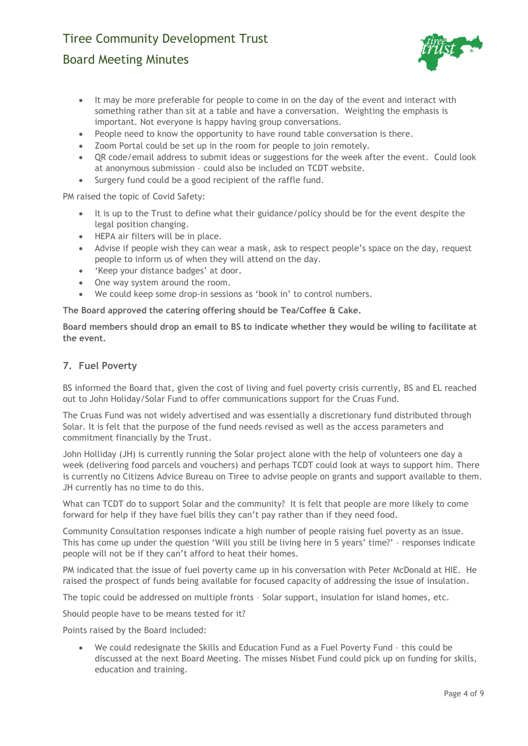# Board Meeting Minutes



- It may be more preferable for people to come in on the day of the event and interact with something rather than sit at a table and have a conversation. Weighting the emphasis is important. Not everyone is happy having group conversations.
- People need to know the opportunity to have round table conversation is there.
- Zoom Portal could be set up in the room for people to join remotely.
- QR code/email address to submit ideas or suggestions for the week after the event. Could look at anonymous submission – could also be included on TCDT website.
- Surgery fund could be a good recipient of the raffle fund.

PM raised the topic of Covid Safety:

- It is up to the Trust to define what their guidance/policy should be for the event despite the legal position changing.
- HEPA air filters will be in place.
- Advise if people wish they can wear a mask, ask to respect people's space on the day, request people to inform us of when they will attend on the day.
- 'Keep your distance badges' at door.
- One way system around the room.
- We could keep some drop-in sessions as 'book in' to control numbers.

**The Board approved the catering offering should be Tea/Coffee & Cake.**

**Board members should drop an email to BS to indicate whether they would be wiling to facilitate at the event.**

### **7. Fuel Poverty**

BS informed the Board that, given the cost of living and fuel poverty crisis currently, BS and EL reached out to John Holiday/Solar Fund to offer communications support for the Cruas Fund.

The Cruas Fund was not widely advertised and was essentially a discretionary fund distributed through Solar. It is felt that the purpose of the fund needs revised as well as the access parameters and commitment financially by the Trust.

John Holliday (JH) is currently running the Solar project alone with the help of volunteers one day a week (delivering food parcels and vouchers) and perhaps TCDT could look at ways to support him. There is currently no Citizens Advice Bureau on Tiree to advise people on grants and support available to them. JH currently has no time to do this.

What can TCDT do to support Solar and the community? It is felt that people are more likely to come forward for help if they have fuel bills they can't pay rather than if they need food.

Community Consultation responses indicate a high number of people raising fuel poverty as an issue. This has come up under the question 'Will you still be living here in 5 years' time?' – responses indicate people will not be if they can't afford to heat their homes.

PM indicated that the issue of fuel poverty came up in his conversation with Peter McDonald at HIE. He raised the prospect of funds being available for focused capacity of addressing the issue of insulation.

The topic could be addressed on multiple fronts – Solar support, insulation for island homes, etc.

Should people have to be means tested for it?

Points raised by the Board included:

• We could redesignate the Skills and Education Fund as a Fuel Poverty Fund – this could be discussed at the next Board Meeting. The misses Nisbet Fund could pick up on funding for skills, education and training.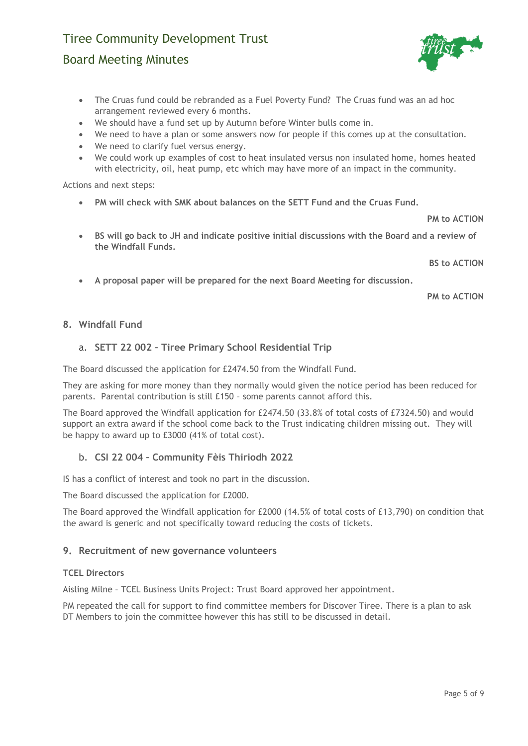# Board Meeting Minutes

- The Cruas fund could be rebranded as a Fuel Poverty Fund? The Cruas fund was an ad hoc arrangement reviewed every 6 months.
- We should have a fund set up by Autumn before Winter bulls come in.
- We need to have a plan or some answers now for people if this comes up at the consultation.
- We need to clarify fuel versus energy.
- We could work up examples of cost to heat insulated versus non insulated home, homes heated with electricity, oil, heat pump, etc which may have more of an impact in the community.

Actions and next steps:

• **PM will check with SMK about balances on the SETT Fund and the Cruas Fund.**

**PM to ACTION**

• **BS will go back to JH and indicate positive initial discussions with the Board and a review of the Windfall Funds.**

**BS to ACTION**

• **A proposal paper will be prepared for the next Board Meeting for discussion.**

**PM to ACTION**

## **8. Windfall Fund**

# a. **SETT 22 002 – Tiree Primary School Residential Trip**

The Board discussed the application for £2474.50 from the Windfall Fund.

They are asking for more money than they normally would given the notice period has been reduced for parents. Parental contribution is still £150 – some parents cannot afford this.

The Board approved the Windfall application for £2474.50 (33.8% of total costs of £7324.50) and would support an extra award if the school come back to the Trust indicating children missing out. They will be happy to award up to £3000 (41% of total cost).

# b. **CSI 22 004 – Community Fèis Thiriodh 2022**

IS has a conflict of interest and took no part in the discussion.

The Board discussed the application for £2000.

The Board approved the Windfall application for £2000 (14.5% of total costs of £13,790) on condition that the award is generic and not specifically toward reducing the costs of tickets.

### **9. Recruitment of new governance volunteers**

### **TCEL Directors**

Aisling Milne – TCEL Business Units Project: Trust Board approved her appointment.

PM repeated the call for support to find committee members for Discover Tiree. There is a plan to ask DT Members to join the committee however this has still to be discussed in detail.

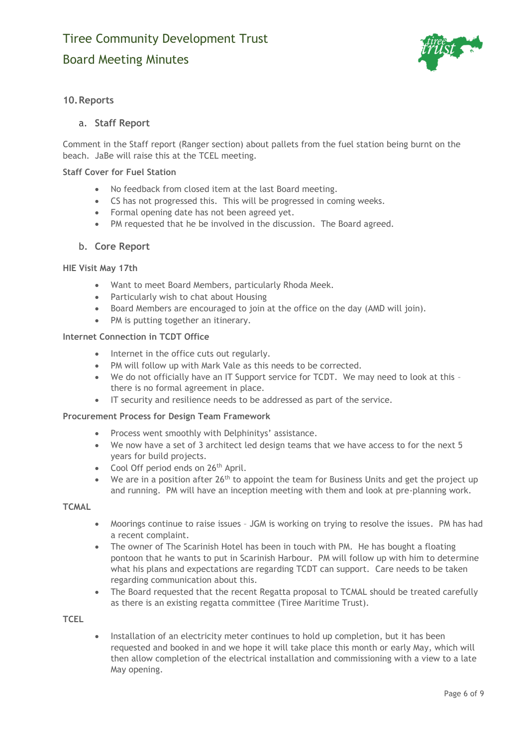

## **10.Reports**

### a. **Staff Report**

Comment in the Staff report (Ranger section) about pallets from the fuel station being burnt on the beach. JaBe will raise this at the TCEL meeting.

### **Staff Cover for Fuel Station**

- No feedback from closed item at the last Board meeting.
- CS has not progressed this. This will be progressed in coming weeks.
- Formal opening date has not been agreed yet.
- PM requested that he be involved in the discussion. The Board agreed.

#### b. **Core Report**

#### **HIE Visit May 17th**

- Want to meet Board Members, particularly Rhoda Meek.
- Particularly wish to chat about Housing
- Board Members are encouraged to join at the office on the day (AMD will join).
- PM is putting together an itinerary.

#### **Internet Connection in TCDT Office**

- Internet in the office cuts out regularly.
- PM will follow up with Mark Vale as this needs to be corrected.
- We do not officially have an IT Support service for TCDT. We may need to look at this there is no formal agreement in place.
- IT security and resilience needs to be addressed as part of the service.

#### **Procurement Process for Design Team Framework**

- Process went smoothly with Delphinitys' assistance.
- We now have a set of 3 architect led design teams that we have access to for the next 5 years for build projects.
- Cool Off period ends on 26<sup>th</sup> April.
- We are in a position after  $26<sup>th</sup>$  to appoint the team for Business Units and get the project up and running. PM will have an inception meeting with them and look at pre-planning work.

#### **TCMAL**

- Moorings continue to raise issues JGM is working on trying to resolve the issues. PM has had a recent complaint.
- The owner of The Scarinish Hotel has been in touch with PM. He has bought a floating pontoon that he wants to put in Scarinish Harbour. PM will follow up with him to determine what his plans and expectations are regarding TCDT can support. Care needs to be taken regarding communication about this.
- The Board requested that the recent Regatta proposal to TCMAL should be treated carefully as there is an existing regatta committee (Tiree Maritime Trust).

**TCEL**

• Installation of an electricity meter continues to hold up completion, but it has been requested and booked in and we hope it will take place this month or early May, which will then allow completion of the electrical installation and commissioning with a view to a late May opening.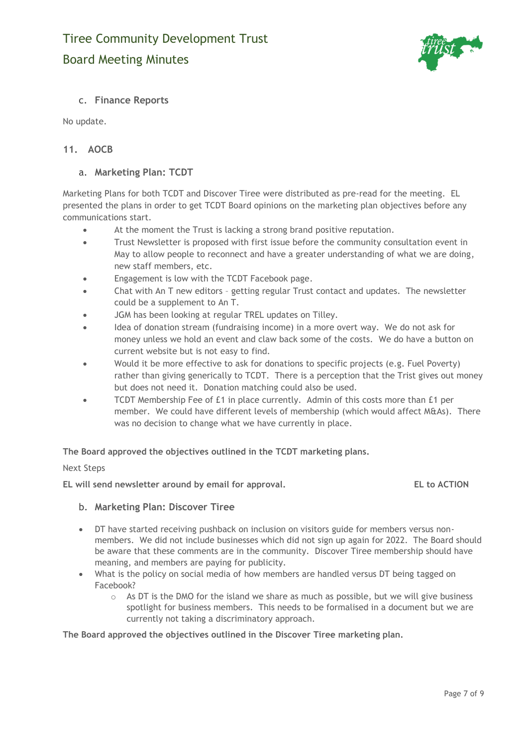

# c. **Finance Reports**

No update.

# **11. AOCB**

### a. **Marketing Plan: TCDT**

Marketing Plans for both TCDT and Discover Tiree were distributed as pre-read for the meeting. EL presented the plans in order to get TCDT Board opinions on the marketing plan objectives before any communications start.

- At the moment the Trust is lacking a strong brand positive reputation.
- Trust Newsletter is proposed with first issue before the community consultation event in May to allow people to reconnect and have a greater understanding of what we are doing, new staff members, etc.
- Engagement is low with the TCDT Facebook page.
- Chat with An T new editors getting regular Trust contact and updates. The newsletter could be a supplement to An T.
- JGM has been looking at regular TREL updates on Tilley.
- Idea of donation stream (fundraising income) in a more overt way. We do not ask for money unless we hold an event and claw back some of the costs. We do have a button on current website but is not easy to find.
- Would it be more effective to ask for donations to specific projects (e.g. Fuel Poverty) rather than giving generically to TCDT. There is a perception that the Trist gives out money but does not need it. Donation matching could also be used.
- TCDT Membership Fee of £1 in place currently. Admin of this costs more than £1 per member. We could have different levels of membership (which would affect M&As). There was no decision to change what we have currently in place.

**The Board approved the objectives outlined in the TCDT marketing plans.** 

### Next Steps

**EL will send newsletter around by email for approval. EL to ACTION**

### b. **Marketing Plan: Discover Tiree**

- DT have started receiving pushback on inclusion on visitors guide for members versus nonmembers. We did not include businesses which did not sign up again for 2022. The Board should be aware that these comments are in the community. Discover Tiree membership should have meaning, and members are paying for publicity.
- What is the policy on social media of how members are handled versus DT being tagged on Facebook?
	- $\circ$  As DT is the DMO for the island we share as much as possible, but we will give business spotlight for business members. This needs to be formalised in a document but we are currently not taking a discriminatory approach.

**The Board approved the objectives outlined in the Discover Tiree marketing plan.**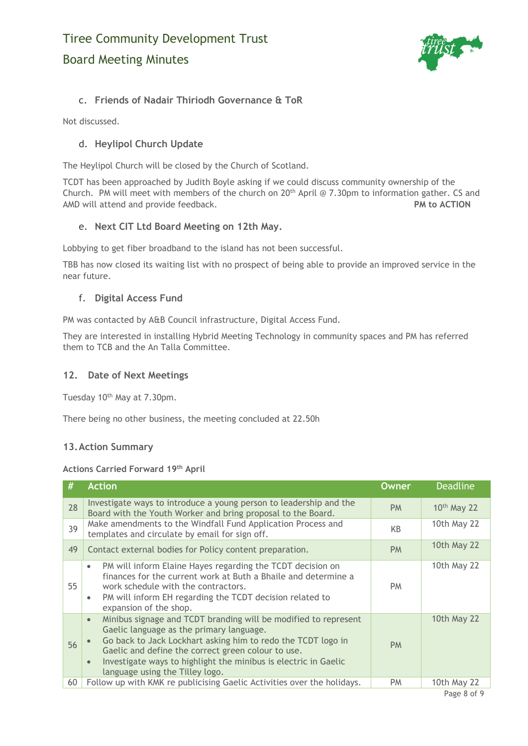

# c. **Friends of Nadair Thiriodh Governance & ToR**

Not discussed.

# d. **Heylipol Church Update**

The Heylipol Church will be closed by the Church of Scotland.

TCDT has been approached by Judith Boyle asking if we could discuss community ownership of the Church. PM will meet with members of the church on  $20<sup>th</sup>$  April @ 7.30pm to information gather. CS and AMD will attend and provide feedback. **PM to ACTION**

# e. **Next CIT Ltd Board Meeting on 12th May.**

Lobbying to get fiber broadband to the island has not been successful.

TBB has now closed its waiting list with no prospect of being able to provide an improved service in the near future.

# f. **Digital Access Fund**

PM was contacted by A&B Council infrastructure, Digital Access Fund.

They are interested in installing Hybrid Meeting Technology in community spaces and PM has referred them to TCB and the An Talla Committee.

# **12. Date of Next Meetings**

Tuesday 10<sup>th</sup> May at 7.30pm.

There being no other business, the meeting concluded at 22.50h

# **13.Action Summary**

### **Actions Carried Forward 19th April**

| #  | <b>Action</b>                                                                                                                                                                                                                                                                                                                                                     | <b>Owner</b> | <b>Deadline</b>    |
|----|-------------------------------------------------------------------------------------------------------------------------------------------------------------------------------------------------------------------------------------------------------------------------------------------------------------------------------------------------------------------|--------------|--------------------|
| 28 | Investigate ways to introduce a young person to leadership and the<br>Board with the Youth Worker and bring proposal to the Board.                                                                                                                                                                                                                                | <b>PM</b>    | $10th$ May 22      |
| 39 | Make amendments to the Windfall Fund Application Process and<br>templates and circulate by email for sign off.                                                                                                                                                                                                                                                    | KB           | 10th May 22        |
| 49 | Contact external bodies for Policy content preparation.                                                                                                                                                                                                                                                                                                           | <b>PM</b>    | <b>10th May 22</b> |
| 55 | PM will inform Elaine Hayes regarding the TCDT decision on<br>$\bullet$<br>finances for the current work at Buth a Bhaile and determine a<br>work schedule with the contractors.<br>PM will inform EH regarding the TCDT decision related to<br>$\bullet$<br>expansion of the shop.                                                                               | <b>PM</b>    | 10th May 22        |
| 56 | Minibus signage and TCDT branding will be modified to represent<br>$\bullet$<br>Gaelic language as the primary language.<br>Go back to Jack Lockhart asking him to redo the TCDT logo in<br>Gaelic and define the correct green colour to use.<br>Investigate ways to highlight the minibus is electric in Gaelic<br>$\bullet$<br>language using the Tilley logo. | <b>PM</b>    | <b>10th May 22</b> |
| 60 | Follow up with KMK re publicising Gaelic Activities over the holidays.                                                                                                                                                                                                                                                                                            | PM           | 10th May 22        |